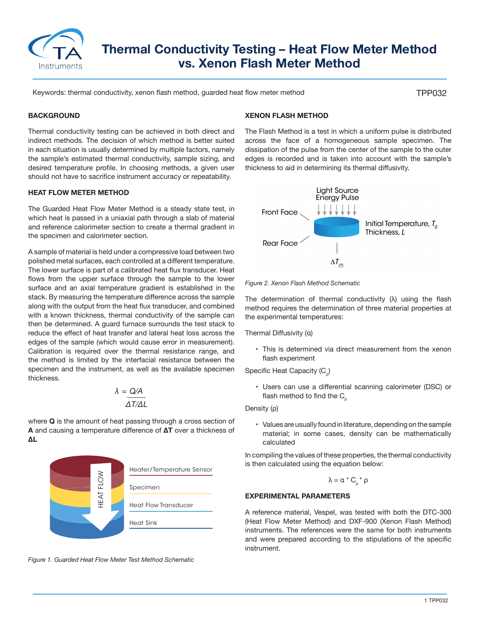

# **Thermal Conductivity Testing – Heat Flow Meter Method vs. Xenon Flash Meter Method**

Keywords: thermal conductivity, xenon flash method, guarded heat flow meter method

TPP032

## **BACKGROUND**

Thermal conductivity testing can be achieved in both direct and indirect methods. The decision of which method is better suited in each situation is usually determined by multiple factors, namely the sample's estimated thermal conductivity, sample sizing, and desired temperature profile. In choosing methods, a given user should not have to sacrifice instrument accuracy or repeatability.

#### **HEAT FLOW METER METHOD**

The Guarded Heat Flow Meter Method is a steady state test, in which heat is passed in a uniaxial path through a slab of material and reference calorimeter section to create a thermal gradient in the specimen and calorimeter section.

A sample of material is held under a compressive load between two polished metal surfaces, each controlled at a different temperature. The lower surface is part of a calibrated heat flux transducer. Heat flows from the upper surface through the sample to the lower surface and an axial temperature gradient is established in the stack. By measuring the temperature difference across the sample along with the output from the heat flux transducer, and combined with a known thickness, thermal conductivity of the sample can then be determined. A guard furnace surrounds the test stack to reduce the effect of heat transfer and lateral heat loss across the edges of the sample (which would cause error in measurement). Calibration is required over the thermal resistance range, and the method is limited by the interfacial resistance between the specimen and the instrument, as well as the available specimen thickness.

$$
\lambda = \frac{Q/A}{\Delta T/\Delta L}
$$

where **Q** is the amount of heat passing through a cross section of **A** and causing a temperature difference of **ΔT** over a thickness of **ΔL**



*Figure 1. Guarded Heat Flow Meter Test Method Schematic*

#### **XENON FLASH METHOD**

The Flash Method is a test in which a uniform pulse is distributed across the face of a homogeneous sample specimen. The dissipation of the pulse from the center of the sample to the outer edges is recorded and is taken into account with the sample's thickness to aid in determining its thermal diffusivity.





The determination of thermal conductivity  $(\lambda)$  using the flash method requires the determination of three material properties at the experimental temperatures:

Thermal Diffusivity (α)

• This is determined via direct measurement from the xenon flash experiment

Specific Heat Capacity (C<sub>n</sub>)

• Users can use a differential scanning calorimeter (DSC) or flash method to find the  $C_p$ 

Density (ρ)

• Values are usually found in literature, depending on the sample material; in some cases, density can be mathematically calculated

In compiling the values of these properties, the thermal conductivity is then calculated using the equation below:

$$
\lambda = \alpha * C_{p} * \rho
$$

#### **EXPERIMENTAL PARAMETERS**

A reference material, Vespel, was tested with both the DTC-300 (Heat Flow Meter Method) and DXF-900 (Xenon Flash Method) instruments. The references were the same for both instruments and were prepared according to the stipulations of the specific instrument.